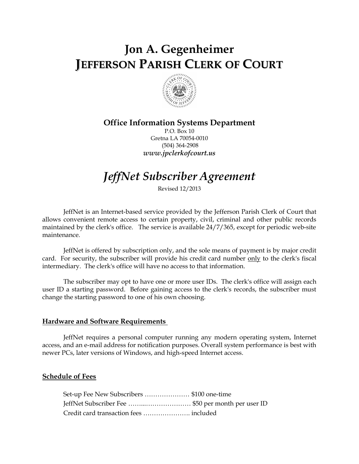# Jon A. Gegenheimer JEFFERSON PARISH CLERK OF COURT



# Office Information Systems Department

P.O. Box 10 Gretna LA 70054-0010 (504) 364-2908 www.jpclerkofcourt.us

# JeffNet Subscriber Agreement

Revised 12/2013

JeffNet is an Internet-based service provided by the Jefferson Parish Clerk of Court that allows convenient remote access to certain property, civil, criminal and other public records maintained by the clerk's office. The service is available 24/7/365, except for periodic web-site maintenance.

JeffNet is offered by subscription only, and the sole means of payment is by major credit card. For security, the subscriber will provide his credit card number only to the clerk's fiscal intermediary. The clerk's office will have no access to that information.

The subscriber may opt to have one or more user IDs. The clerk's office will assign each user ID a starting password. Before gaining access to the clerk's records, the subscriber must change the starting password to one of his own choosing.

#### Hardware and Software Requirements

JeffNet requires a personal computer running any modern operating system, Internet access, and an e-mail address for notification purposes. Overall system performance is best with newer PCs, later versions of Windows, and high-speed Internet access.

# Schedule of Fees

| Set-up Fee New Subscribers  \$100 one-time        |  |
|---------------------------------------------------|--|
| JeffNet Subscriber Fee \$50 per month per user ID |  |
|                                                   |  |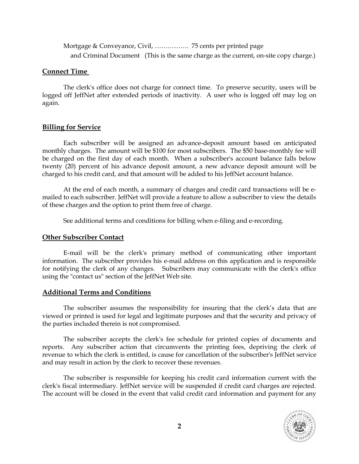Mortgage & Conveyance, Civil, ……………. 75 cents per printed page and Criminal Document (This is the same charge as the current, on-site copy charge.)

#### Connect Time

The clerk's office does not charge for connect time. To preserve security, users will be logged off JeffNet after extended periods of inactivity. A user who is logged off may log on again.

# Billing for Service

Each subscriber will be assigned an advance-deposit amount based on anticipated monthly charges. The amount will be \$100 for most subscribers. The \$50 base-monthly fee will be charged on the first day of each month. When a subscriber's account balance falls below twenty (20) percent of his advance deposit amount, a new advance deposit amount will be charged to his credit card, and that amount will be added to his JeffNet account balance.

At the end of each month, a summary of charges and credit card transactions will be emailed to each subscriber. JeffNet will provide a feature to allow a subscriber to view the details of these charges and the option to print them free of charge.

See additional terms and conditions for billing when e-filing and e-recording.

# Other Subscriber Contact

E-mail will be the clerk's primary method of communicating other important information. The subscriber provides his e-mail address on this application and is responsible for notifying the clerk of any changes. Subscribers may communicate with the clerk's office using the "contact us" section of the JeffNet Web site.

# Additional Terms and Conditions

The subscriber assumes the responsibility for insuring that the clerk's data that are viewed or printed is used for legal and legitimate purposes and that the security and privacy of the parties included therein is not compromised.

The subscriber accepts the clerk's fee schedule for printed copies of documents and reports. Any subscriber action that circumvents the printing fees, depriving the clerk of revenue to which the clerk is entitled, is cause for cancellation of the subscriber's JeffNet service and may result in action by the clerk to recover these revenues.

The subscriber is responsible for keeping his credit card information current with the clerk's fiscal intermediary. JeffNet service will be suspended if credit card charges are rejected. The account will be closed in the event that valid credit card information and payment for any

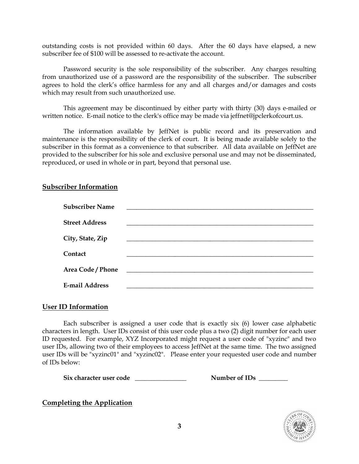outstanding costs is not provided within 60 days. After the 60 days have elapsed, a new subscriber fee of \$100 will be assessed to re-activate the account.

Password security is the sole responsibility of the subscriber. Any charges resulting from unauthorized use of a password are the responsibility of the subscriber. The subscriber agrees to hold the clerk's office harmless for any and all charges and/or damages and costs which may result from such unauthorized use.

This agreement may be discontinued by either party with thirty (30) days e-mailed or written notice. E-mail notice to the clerk's office may be made via jeffnet@jpclerkofcourt.us.

The information available by JeffNet is public record and its preservation and maintenance is the responsibility of the clerk of court. It is being made available solely to the subscriber in this format as a convenience to that subscriber. All data available on JeffNet are provided to the subscriber for his sole and exclusive personal use and may not be disseminated, reproduced, or used in whole or in part, beyond that personal use.

# Subscriber Information

| <b>Subscriber Name</b> |                                               |
|------------------------|-----------------------------------------------|
| <b>Street Address</b>  |                                               |
| City, State, Zip       |                                               |
| Contact                |                                               |
| Area Code / Phone      | <u> 1989 - Andrea Andrew Maria (h. 1989).</u> |
| <b>E-mail Address</b>  |                                               |

# User ID Information

Each subscriber is assigned a user code that is exactly six (6) lower case alphabetic characters in length. User IDs consist of this user code plus a two (2) digit number for each user ID requested. For example, XYZ Incorporated might request a user code of "xyzinc" and two user IDs, allowing two of their employees to access JeffNet at the same time. The two assigned user IDs will be "xyzinc01" and "xyzinc02". Please enter your requested user code and number of IDs below:

Six character user code  $\qquad \qquad N$ umber of IDs  $\qquad \qquad N$ 

# Completing the Application